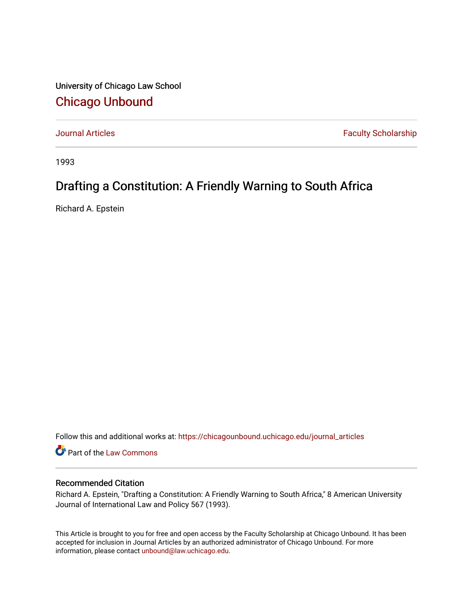University of Chicago Law School [Chicago Unbound](https://chicagounbound.uchicago.edu/)

[Journal Articles](https://chicagounbound.uchicago.edu/journal_articles) **Faculty Scholarship Faculty Scholarship** 

1993

# Drafting a Constitution: A Friendly Warning to South Africa

Richard A. Epstein

Follow this and additional works at: [https://chicagounbound.uchicago.edu/journal\\_articles](https://chicagounbound.uchicago.edu/journal_articles?utm_source=chicagounbound.uchicago.edu%2Fjournal_articles%2F1347&utm_medium=PDF&utm_campaign=PDFCoverPages) 

Part of the [Law Commons](http://network.bepress.com/hgg/discipline/578?utm_source=chicagounbound.uchicago.edu%2Fjournal_articles%2F1347&utm_medium=PDF&utm_campaign=PDFCoverPages)

### Recommended Citation

Richard A. Epstein, "Drafting a Constitution: A Friendly Warning to South Africa," 8 American University Journal of International Law and Policy 567 (1993).

This Article is brought to you for free and open access by the Faculty Scholarship at Chicago Unbound. It has been accepted for inclusion in Journal Articles by an authorized administrator of Chicago Unbound. For more information, please contact [unbound@law.uchicago.edu](mailto:unbound@law.uchicago.edu).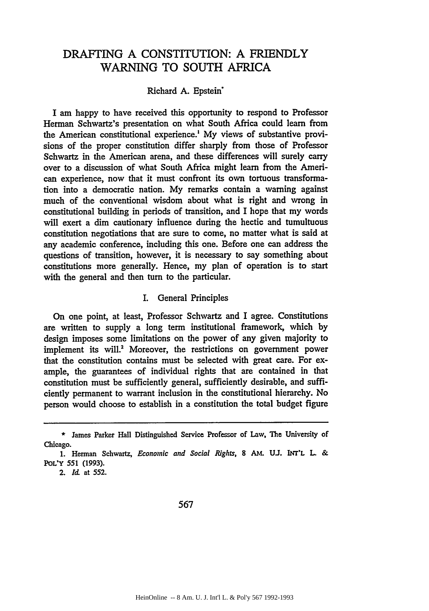## DRAFTING A CONSTITUTION: A FRIENDLY WARNING TO SOUTH AFRICA

#### Richard **A.** Epstein\*

I am happy to have received this opportunity to respond to Professor Herman Schwartz's presentation on what South Africa could learn from the American constitutional experience.' **My** views of substantive provisions of the proper constitution differ sharply from those of Professor Schwartz in the American arena, and these differences will surely carry over to a discussion of what South Africa might learn from the American experience, now that it must confront its own tortuous transformation into a democratic nation. My remarks contain a warning against much of the conventional wisdom about what is right and wrong in constitutional building in periods of transition, and I hope that my words will exert a dim cautionary influence during the hectic and tumultuous constitution negotiations that are sure to come, no matter what is said at any academic conference, including this one. Before one can address the questions of transition, however, it is necessary to say something about constitutions more generally. Hence, my plan of operation is to start with the general and then turn to the particular.

#### I. General Principles

On one point, at least, Professor Schwartz and I agree. Constitutions are written to supply a long term institutional framework, which **by** design imposes some limitations on the power of any given majority to implement its will.<sup>2</sup> Moreover, the restrictions on government power that the constitution contains must be selected with great care. For example, the guarantees of individual rights that are contained in that constitution must be sufficiently general, sufficiently desirable, and sufficiently permanent to warrant inclusion in the constitutional hierarchy. No person would choose to establish in a constitution the total budget figure

**<sup>\*</sup>** James Parker Hall Distinguished Service Professor of Law, **The** University of Chicago.

<sup>1.</sup> Herman Schwartz, *Economic and Social Rights*, 8 AM. U.J. INT'L L. & **POL'Y 551 (1993).**

**<sup>2.</sup>** *Id.* at **552.**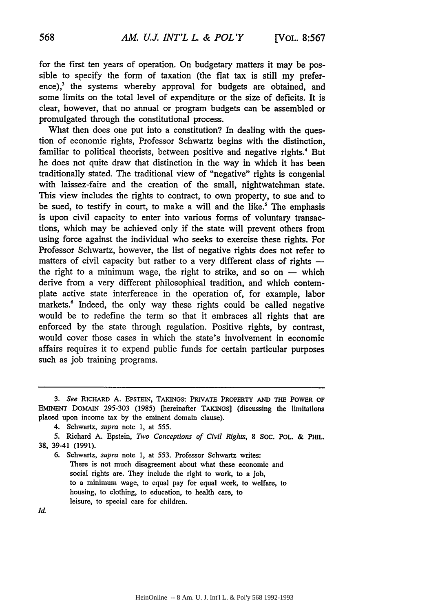for the first ten years of operation. On budgetary matters it may be possible to specify the form of taxation (the flat tax is still my prefer $e^3$ , the systems whereby approval for budgets are obtained, and some limits on the total level of expenditure or the size of deficits. It is clear, however, that no annual or program budgets can be assembled or promulgated through the constitutional process.

What then does one put into a constitution? In dealing with the question of economic rights, Professor Schwartz begins with the distinction, familiar to political theorists, between positive and negative rights.<sup>4</sup> But he does not quite draw that distinction in the way in which it has been traditionally stated. The traditional view of "negative" rights is congenial with laissez-faire and the creation of the small, nightwatchman state. This view includes the rights to contract, to own property, to sue and to be sued, to testify in court, to make a will and the like.' The emphasis is upon civil capacity to enter into various forms of voluntary transactions, which may be achieved only if the state will prevent others from using force against the individual who seeks to exercise these rights. For Professor Schwartz, however, the list of negative rights does not refer to matters of civil capacity but rather to a very different class of rights  the right to a minimum wage, the right to strike, and so on  $-$  which derive from a very different philosophical tradition, and which contemplate active state interference in the operation of, for example, labor markets.<sup>6</sup> Indeed, the only way these rights could be called negative would be to redefine the term so that it embraces all rights that are enforced by the state through regulation. Positive rights, by contrast, would cover those cases in which the state's involvement in economic affairs requires it to expend public funds for certain particular purposes such as job training programs.

Id.

*<sup>3.</sup> See* **RICHARD A. EPSTEIN, TAKINGS: PRIVATE PROPERTY AND THE POWER OF** EMINENT DoMAIN 295-303 (1985) [hereinafter TAKINGS] (discussing the limitations placed upon income tax **by** the eminent domain clause).

<sup>4.</sup> Schwartz, *supra* note 1, at 555.

**<sup>5.</sup>** Richard **A.** Epstein, *Two Conceptions of Civil Rights,* **8 SOC.** POL. & PHIL. **38,** 39-41 **(1991).**

**<sup>6.</sup>** Schwartz, *supra* note 1, at 553. Professor Schwartz writes: There is not much disagreement about what these economic and social rights are. They include the right to work, to a **job,** to a minimum wage, to equal pay for equal work, to welfare, to housing, to clothing, to education, to health care, to leisure, to special care for children.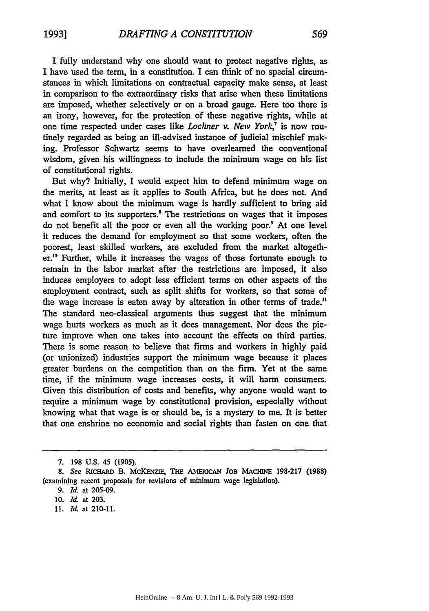I fully understand why one should want to protect negative rights, as I have used the term, in a constitution. I can think of no special circumstances in which limitations on contractual capacity make sense, at least in comparison to the extraordinary risks that arise when these limitations are imposed, whether selectively or on a broad gauge. Here too there is an irony, however, for the protection of these negative rights, while at one time respected under cases like *Lochner v. New York,7* is now routinely regarded as being an ill-advised instance of judicial mischief making. Professor Schwartz seems to have overlearned the conventional wisdom, given his willingness to include the minimum wage on his list of constitutional rights.

But why? Initially, I would expect him to defend minimum wage on the merits, at least as it applies to South Africa, but he does not. And what I know about the minimum wage is hardly sufficient to bring aid and comfort to its supporters.<sup>8</sup> The restrictions on wages that it imposes do not benefit all the poor or even all the working poor.<sup>9</sup> At one level it reduces the demand for employment so that some workers, often the poorest, least skilled workers, are excluded from the market altogether." Further, while it increases the wages of those fortunate enough to remain in the labor market after the restrictions are imposed, it also induces employers to adopt less efficient terms on other aspects of the employment contract, such as split shifts for workers, so that some of the wage increase is eaten away by alteration in other terms of trade." The standard neo-classical arguments thus suggest that the minimum wage hurts workers as much as it does management. Nor does the picture improve when one takes into account the effects on third parties. There is some reason to believe that firms and workers in highly paid (or unionized) industries support the minimum wage because it places greater burdens on the competition than on the firm. Yet at the same time, if the minimum wage increases costs, it will harm consumers. Given this distribution of costs and benefits, why anyone would want to require a minimum wage by constitutional provision, especially without knowing what that wage is or should be, is a mystery to me. It is better that one enshrine no economic and social rights than fasten on one that

11. *Id.* at 210-11.

<sup>7. 198</sup> U.S. 45 (1905).

<sup>8.</sup> See RICHARD B. MCKENZIE, THE AMERICAN JOB MACHINE 198-217 (1988) (examining recent proposals for revisions of minimum wage legislation).

**<sup>9.</sup>** *Id.* at 205-09.

<sup>10.</sup> *Id.* at 203.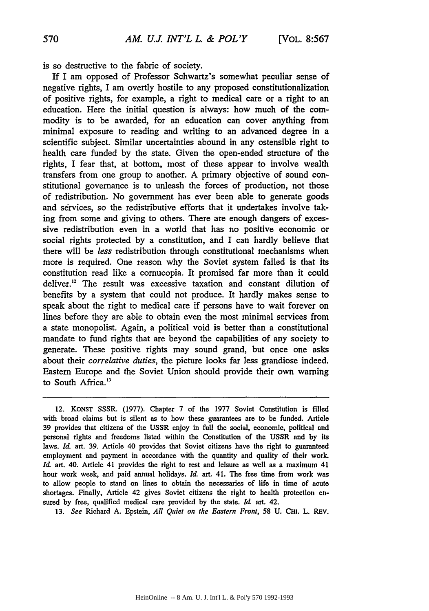is so destructive to the fabric of society.

If I am opposed of Professor Schwartz's somewhat peculiar sense of negative rights, I am overtly hostile to any proposed constitutionalization of positive rights, for example, a right to medical care or a right to an education. Here the initial question is always: how much of the commodity is to be awarded, for an education can cover anything from minimal exposure to reading and writing to an advanced degree in a scientific subject. Similar uncertainties abound in any ostensible right to health care funded by the state. Given the open-ended structure of the rights, I fear that, at bottom, most of these appear to involve wealth transfers from one group to another. A primary objective of sound constitutional governance is to unleash the forces of production, not those of redistribution. No government has ever been able to generate goods and services, so the redistributive efforts that it undertakes involve taking from some and giving to others. There are enough dangers of excessive redistribution even in a world that has no positive economic or social rights protected by a constitution, and I can hardly believe that there will be *less* redistribution through constitutional mechanisms when more is required. One reason why the Soviet system failed is that its constitution read like a cornucopia. It promised far more than it could deliver.'2 The result was excessive taxation and constant dilution of benefits by a system that could not produce. It hardly makes sense to speak about the right to medical care if persons have to wait forever on lines before they are able to obtain even the most minimal services from a state monopolist. Again, a political void is better than a constitutional mandate to fund rights that are beyond the capabilities of any society to generate. These positive rights may sound grand, but once one asks about their *correlative duties,* the picture looks far less grandiose indeed. Eastern Europe and the Soviet Union should provide their own warning to South Africa.<sup>13</sup>

13. *See* Richard A. Epstein, *All Quiet on the Eastern Front,* 58 U. Cai. L. REv.

<sup>12.</sup> KONST SSSR. (1977). Chapter 7 of the 1977 Soviet Constitution is filled with broad claims but is silent as to how these guarantees are to be funded. Article 39 provides that citizens of the USSR enjoy in full the social, economic, political and personal rights and freedoms listed within the Constitution of the USSR and by its laws. *Id.* art. 39. Article 40 provides that Soviet citizens have the right to guaranteed employment and payment in accordance with the quantity and quality of their work. *Id.* art. 40. Article 41 provides the right to rest and leisure as well as a maximum 41 hour work week, and paid annual holidays. *Id.* art. 41. The free time from work was to allow people to stand on lines to obtain the necessaries of life in time of acute shortages. Finally, Article 42 gives Soviet citizens the right to health protection ensured by free, qualified medical care provided by the state. *Id.* art. 42.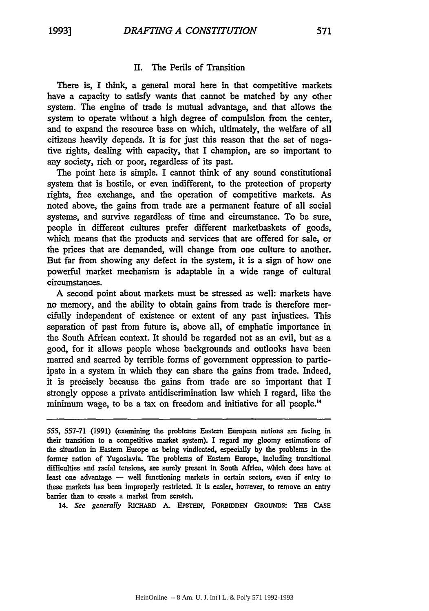#### II. The Perils of Transition

There is, I think, a general moral here in that competitive markets have a capacity to satisfy wants that cannot be matched by any other system. The engine of trade is mutual advantage, and that allows the system to operate without a high degree of compulsion from the center, and to expand the resource base on which, ultimately, the welfare of all citizens heavily depends. It is for just this reason that the set of negative rights, dealing with capacity, that I champion, are so important to any society, rich or poor, regardless of its past.

The point here is simple. I cannot think of any sound constitutional system that is hostile, or even indifferent, to the protection of property rights, free exchange, and the operation of competitive markets. As noted above, the gains from trade are a permanent feature of all social systems, and survive regardless of time and circumstance. To be sure, people in different cultures prefer different marketbaskets of goods, which means that the products and services that are offered for sale, or the prices that are demanded, will change from one culture to another. But far from showing any defect in the system, it is a sign of how one powerful market mechanism is adaptable in a wide range of cultural circumstances.

A second point about markets must be stressed as well: markets have no memory, and the ability to obtain gains from trade is therefore mercifully independent of existence or extent of any past injustices. This separation of past from future is, above all, of emphatic importance in the South African context. It should be regarded not as an evil, but as a good, for it allows people whose backgrounds and outlooks have been marred and scarred by terrible forms of government oppression to participate in a system in which they can share the gains from trade. Indeed, it is precisely because the gains from trade are so important that I strongly oppose a private antidiscrimination law which I regard, like the minimum wage, to be a tax on freedom and initiative for all people."

14. See generally RICHARD A. EPSTEIN, FORBIDDEN GROUNDS: THE CASE

<sup>555, 557-71</sup> **(1991)** (examining the problems Eastern European nations are facing in their transition to a competitive market system). I regard my gloomy estimations of the situation in Eastern Europe as being vindicated, especially **by** the problems in the former nation of Yugoslavia. The problems of Eastern Europe, including transitional difficulties and racial tensions, are surely present in South Africa, which does have at least one advantage **-** well functioning markets in certain sectors, even if entry to these markets has been improperly restricted. It is easier, however, to remove an entry barrier than to create a market from scratch.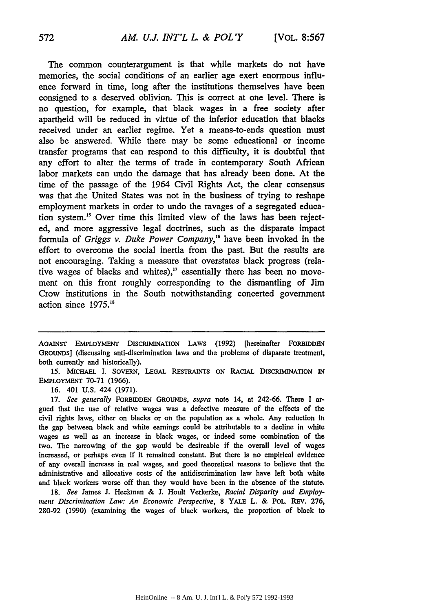The common counterargument is that while markets do not have memories, the social conditions of an earlier age exert enormous influence forward in time, long after the institutions themselves have been consigned to a deserved oblivion. This is correct at one level. There is no question, for example, that black wages in a free society after apartheid will be reduced in virtue of the inferior education that blacks received under an earlier regime. Yet a means-to-ends question must also be answered. While there may be some educational or income transfer programs that can respond to this difficulty, it is doubtful that any effort to alter the terms of trade in contemporary South African labor markets can undo the damage that has already been done. At the time of the passage of the 1964 Civil Rights Act, the clear consensus was that .the United States was not in the business of trying to reshape employment markets in order to undo the ravages of a segregated education system."8 Over time this limited view of the laws has been rejected, and more aggressive legal doctrines, such as the disparate impact formula of *Griggs v. Duke Power Company,'6* have been invoked in the effort to overcome the social inertia from the past. But the results are not encouraging. Taking a measure that overstates black progress (relative wages of blacks and whites)," essentially there has been no movement on this front roughly corresponding to the dismantling of Jim Crow institutions in the South notwithstanding concerted government action since *1975.18*

AGAINST EMPLOYMENT DISCRIMINATION **LAWS** (1992) [hereinafter FORBIDDEN GROUNDS] (discussing anti-discrimination laws and the problems of disparate treatment, both currently and historically).

15. MICHAEL I. SoVERN, LEGAL RESTRAINTS **ON** RACIAL DISCRIMINATION IN EMPLOYMENT 70-71 (1966).

16. 401 U.S. 424 (1971).

17. *See generally* FORBIDDEN GROUNDS, *supra* note 14, at 242-66. There I argued that the use of relative wages was a defective measure of the effects of the civil rights laws, either on blacks or on the population as a whole. Any reduction in the gap between black and white earnings could be attributable to a decline in white wages as well as an increase in black wages, or indeed some combination of the two. The narrowing of the gap would be desireable if the overall level of wages increased, or perhaps even if it remained constant. But there is no empirical evidence of any overall increase in real wages, and good theoretical reasons to believe that the administrative and allocative costs of the antidiscrimination law have left both white and black workers worse off than they would have been in the absence of the statute.

18. *See* James J. Heckman & J. Hoult Verkerke, *Racial Disparity and Employment Discrimination Law: An Economic Perspective,* **8** YALE L. & POL. REV. **276,** 280-92 (1990) (examining the wages of black workers, the proportion of black to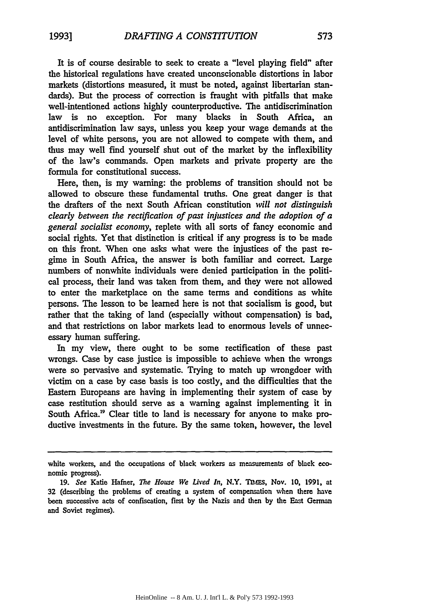It is of course desirable to seek to create a "level playing field" after the historical regulations have created unconscionable distortions in labor markets (distortions measured, it must be noted, against libertarian standards). But the process of correction is fraught with pitfalls that make well-intentioned actions highly counterproductive. The antidiscrimination law is no exception. For many blacks in South Africa, an antidiscrimination law says, unless you keep your wage demands at the level of white persons, you are not allowed to compete with them, and thus may well find yourself shut out of the market by the inflexibility of the law's commands. Open markets and private property are the formula for constitutional success.

Here, then, is my warning: the problems of transition should not be allowed to obscure these fundamental truths. One great danger is that the drafters of the next South African constitution *will not distinguish clearly between the rectification of past injustices and the adoption of a general socialist economy,* replete with all sorts of fancy economic and social rights. Yet that distinction is critical if any progress is to be made on this front. When one asks what were the injustices of the past regime in South Africa, the answer is both familiar and correct. Large numbers of nonwhite individuals were denied participation in the political process, their land was taken from them, and they were not allowed to enter the marketplace on the same terms and conditions as white persons. The lesson to be learned here is not that socialism is good, but rather that the taking of land (especially without compensation) is bad, and that restrictions on labor markets lead to enormous levels of unnecessary human suffering.

In my view, there ought to be some rectification of these past wrongs. Case **by** case justice is impossible to achieve when the wrongs were so pervasive and systematic. Trying to match up wrongdoer with victim on a case by case basis is too costly, and the difficulties that the Eastern Europeans are having in implementing their system of case by case restitution should serve as a warning against implementing it in South Africa.<sup>19</sup> Clear title to land is necessary for anyone to make productive investments in the future. By the same token, however, the level

white workers, and the occupations of black workers as measurements of black economic progress).

**<sup>19.</sup>** See Katie Hafner, The *House We Lived In,* N.Y. **TIMEs,** Nov. **10, 1991,** at **32** (describing the problems of creating a system of compensation when there have been successive acts of confiscation, first **by** the Nazis and then by the East German and Soviet regimes).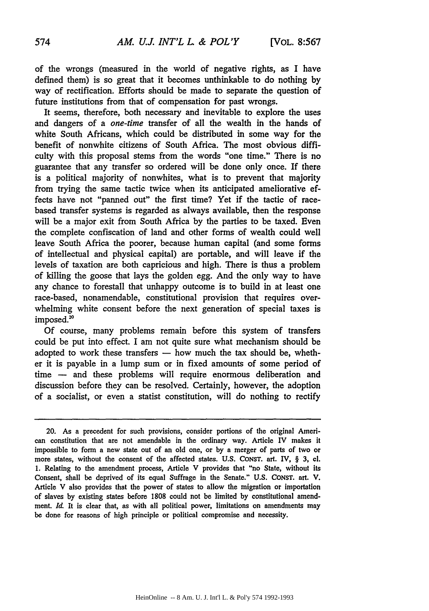of the wrongs (measured in the world of negative rights, as I have defined them) is so great that it becomes unthinkable to do nothing by way of rectification. Efforts should be made to separate the question of future institutions from that of compensation for past wrongs.

It seems, therefore, both necessary and inevitable to explore the uses and dangers of a *one-time* transfer of all the wealth in the hands of white South Africans, which could be distributed in some way for the benefit of nonwhite citizens of South Africa. The most obvious difficulty with this proposal stems from the words "one time." There is no guarantee that any transfer so ordered will be done only once. If there is a political majority of nonwhites, what is to prevent that majority from trying the same tactic twice when its anticipated ameliorative effects have not "panned out" the first time? Yet if the tactic of racebased transfer systems is regarded as always available, then the response will be a major exit from South Africa by the parties to be taxed. Even the complete confiscation of land and other forms of wealth could well leave South Africa the poorer, because human capital (and some forms of intellectual and physical capital) are portable, and will leave if the levels of taxation are both capricious and high. There is thus a problem of killing the goose that lays the golden egg. And the only way to have any chance to forestall that unhappy outcome is to build in at least one race-based, nonamendable, constitutional provision that requires overwhelming white consent before the next generation of special taxes is imposed.<sup>20</sup>

Of course, many problems remain before this system of transfers could be put into effect. I am not quite sure what mechanism should be adopted to work these transfers - how much the tax should be, whether it is payable in a lump sum or in fixed amounts of some period of time - and these problems will require enormous deliberation and discussion before they can be resolved. Certainly, however, the adoption of a socialist, or even a statist constitution, will do nothing to rectify

20. As a precedent for such provisions, consider portions of the original American constitution that are not amendable in the ordinary way. Article IV makes it impossible to form a new state out of an old one, or **by** a merger of parts of two or more states, without the consent of the affected states. **U.S. CONST.** art. IV, § 3, cl. 1. Relating to the amendment process, Article V provides that "no State, without its Consent, shall be deprived of its equal Suffrage in the Senate." U.S. **CONST.** art. **V.** Article V also provides that the power of states to allow the migration or importation of slaves **by** existing states before 1808 could not be limited **by** constitutional amendment. *Id.* It is clear that, as with all political power, limitations on amendments may be done for reasons of high principle or political compromise and necessity.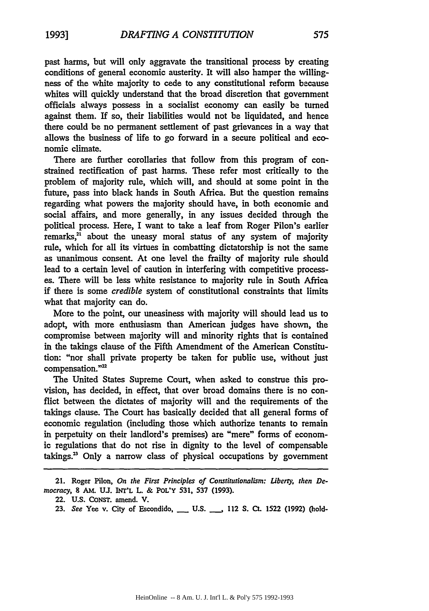past harms, but will only aggravate the transitional process by creating conditions of general economic austerity. It will also hamper the willingness of the white majority to cede to any constitutional reform because whites will quickly understand that the broad discretion that government officials always possess in a socialist economy can easily be turned against them. If so, their liabilities would not be liquidated, and hence there could be no permanent settlement of past grievances in a way that allows the business of life to go forward in a secure political and economic climate.

There are further corollaries that follow from this program of constrained rectification of past harms. These refer most critically to the problem of majority rule, which will, and should at some point in the future, pass into black hands in South Africa. But the question remains regarding what powers the majority should have, in both economic and social affairs, and more generally, in any issues decided through the political process. Here, I want to take a leaf from Roger Pilon's earlier remarks,<sup>21</sup> about the uneasy moral status of any system of majority rule, which for all its virtues in combatting dictatorship is not the same as unanimous consent. At one level the frailty of majority rule should lead to a certain level of caution in interfering with competitive processes. There will be less white resistance to majority rule in South Africa if there is some *credible* system of constitutional constraints that limits what that majority can do.

More to the point, our uneasiness with majority will should lead us to adopt, with more enthusiasm than American judges have shown, the compromise between majority will and minority rights that is contained in the takings clause of the Fifth Amendment of the American Constitution: "nor shall private property be taken for public use, without just compensation."<sup>22</sup>

The United States Supreme Court, when asked to construe this provision, has decided, in effect, that over broad domains there is no conflict between the dictates of majority will and the requirements of the takings clause. The Court has basically decided that all general forms of economic regulation (including those which authorize tenants to remain in perpetuity on their landlord's premises) are "mere" forms of economic regulations that do not rise in dignity to the level of compensable takings. $2^3$  Only a narrow class of physical occupations by government

<sup>21.</sup> Roger Pilon, *On the First Principles of Constitutionalism: Liberty, then* **De***mocracy,* **8 AM. U1.** INT'L L. **& POL'Y 531, 537 (1993).**

<sup>22.</sup> **U.S.** CoNST. amend. V.

**<sup>23.</sup>** *See* Yee v. City of Escondido, **\_ U.S. \_\_,** 112 **S.** Ct. 1522 **(1992)** (hold-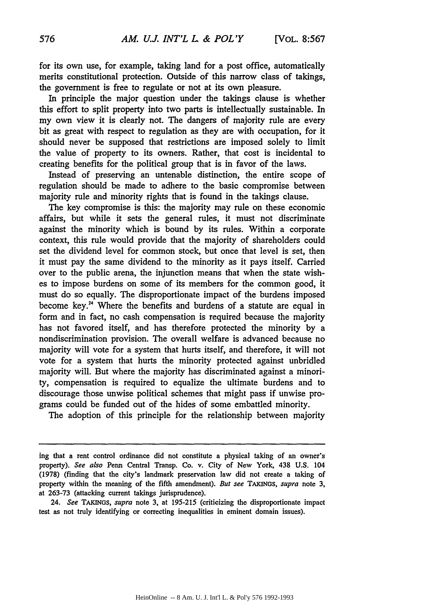for its own use, for example, taking land for a post office, automatically merits constitutional protection. Outside of this narrow class of takings, the government is free to regulate or not at its own pleasure.

In principle the major question under the takings clause is whether this effort to split property into two parts is intellectually sustainable. In my own view it is clearly not. The dangers of majority rule are every bit as great with respect to regulation as they are with occupation, for it should never be supposed that restrictions are imposed solely to limit the value of property to its owners. Rather, that cost is incidental to creating benefits for the political group that is in favor of the laws.

Instead of preserving an untenable distinction, the entire scope of regulation should be made to adhere to the basic compromise between majority rule and minority rights that is found in the takings clause.

The key compromise is this: the majority may rule on these economic affairs, but while it sets the general rules, it must not discriminate against the minority which is bound by its rules. Within a corporate context, this rule would provide that the majority of shareholders could set the dividend level for common stock, but once that level is set, then it must pay the same dividend to the minority as it pays itself. Carried over to the public arena, the injunction means that when the state wishes to impose burdens on some of its members for the common good, it must do so equally. The disproportionate impact of the burdens imposed become key."4 Where the benefits and burdens of a statute are equal in form and in fact, no cash compensation is required because the majority has not favored itself, and has therefore protected the minority by a nondiscrimination provision. The overall welfare is advanced because no majority will vote for a system that hurts itself, and therefore, it will not vote for a system that hurts the minority protected against unbridled majority will. But where the majority has discriminated against a minority, compensation is required to equalize the ultimate burdens and to discourage those unwise political schemes that might pass if unwise programs could be funded out of the hides of some embattled minority.

The adoption of this principle for the relationship between majority

*24. See* TAKINGS, *supra* note 3, at 195-215 (criticizing the disproportionate impact test as not truly identifying or correcting inequalities in eminent domain issues).

ing that a rent control ordinance did not constitute a physical taking of an owner's property). See also Penn Central Transp. Co. v. City of New York, 438 **U.S.** 104 (1978) (finding that the city's landmark preservation law did not create a taking of property within the meaning of the fifth amendment). But see TAKINGS, supra note 3, at 263-73 (attacking current takings jurisprudence).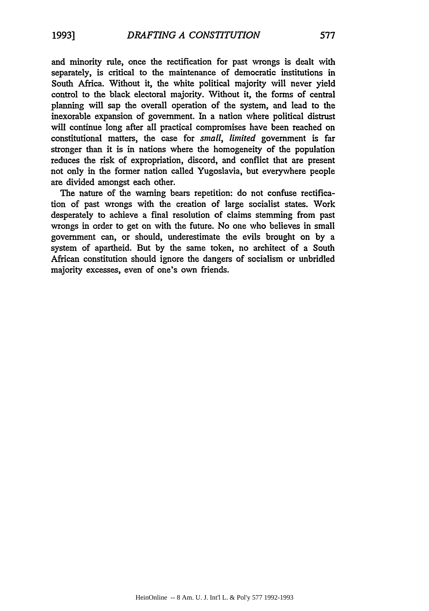and minority rule, once the rectification for past wrongs is dealt with separately, is critical to the maintenance of democratic institutions in South Africa. Without it, the white political majority will never yield control to the black electoral majority. Without it, the forms of central planning will sap the overall operation of the system, and lead to the inexorable expansion of government. In a nation where political distrust will continue long after all practical compromises have been reached on constitutional matters, the case for *small, limited* government is far stronger than it is in nations where the homogeneity of the population reduces the risk of expropriation, discord, and conflict that are present not only in the former nation called Yugoslavia, but everywhere people are divided amongst each other.

The nature of the warning bears repetition: do not confuse rectification of past wrongs with the creation of large socialist states. Work desperately to achieve a final resolution of claims stemming from past wrongs in order to get on with the future. No one who believes in small government can, or should, underestimate the evils brought **on by** a system of apartheid. But by the same token, no architect of a South African constitution should ignore the dangers of socialism or unbridled majority excesses, even of one's own friends.